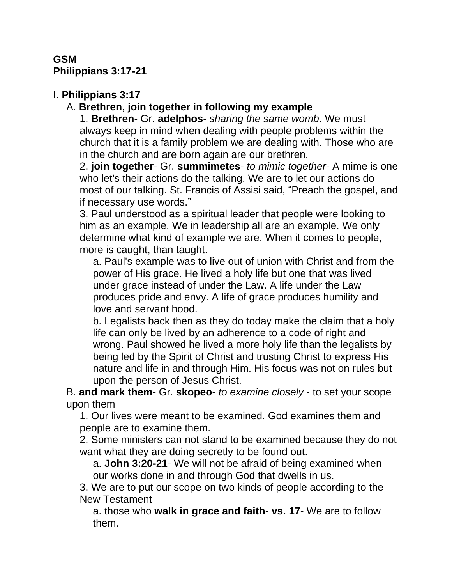## **GSM Philippians 3:17-21**

# I. **Philippians 3:17**

## A. **Brethren, join together in following my example**

1. **Brethren**- Gr. **adelphos**- *sharing the same womb*. We must always keep in mind when dealing with people problems within the church that it is a family problem we are dealing with. Those who are in the church and are born again are our brethren.

2. **join together**- Gr. **summimetes**- *to mimic together*- A mime is one who let's their actions do the talking. We are to let our actions do most of our talking. St. Francis of Assisi said, "Preach the gospel, and if necessary use words."

3. Paul understood as a spiritual leader that people were looking to him as an example. We in leadership all are an example. We only determine what kind of example we are. When it comes to people, more is caught, than taught.

a. Paul's example was to live out of union with Christ and from the power of His grace. He lived a holy life but one that was lived under grace instead of under the Law. A life under the Law produces pride and envy. A life of grace produces humility and love and servant hood.

b. Legalists back then as they do today make the claim that a holy life can only be lived by an adherence to a code of right and wrong. Paul showed he lived a more holy life than the legalists by being led by the Spirit of Christ and trusting Christ to express His nature and life in and through Him. His focus was not on rules but upon the person of Jesus Christ.

B. **and mark them**- Gr. **skopeo**- *to examine closely* - to set your scope upon them

1. Our lives were meant to be examined. God examines them and people are to examine them.

2. Some ministers can not stand to be examined because they do not want what they are doing secretly to be found out.

a. **John 3:20-21**- We will not be afraid of being examined when our works done in and through God that dwells in us.

3. We are to put our scope on two kinds of people according to the New Testament

a. those who **walk in grace and faith**- **vs. 17**- We are to follow them.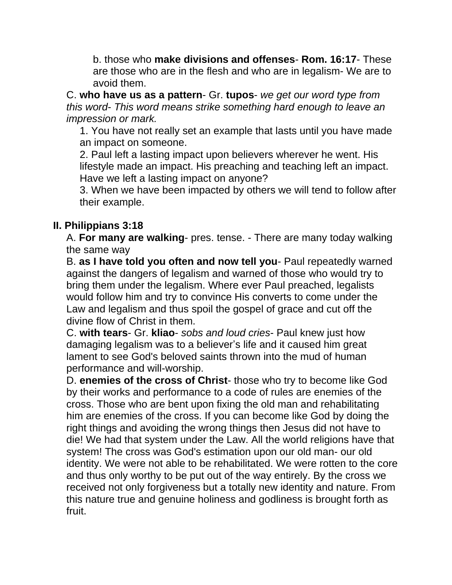b. those who **make divisions and offenses**- **Rom. 16:17**- These are those who are in the flesh and who are in legalism- We are to avoid them.

C. **who have us as a pattern**- Gr. **tupos**- *we get our word type from this word*- *This word means strike something hard enough to leave an impression or mark.* 

1. You have not really set an example that lasts until you have made an impact on someone.

2. Paul left a lasting impact upon believers wherever he went. His lifestyle made an impact. His preaching and teaching left an impact. Have we left a lasting impact on anyone?

3. When we have been impacted by others we will tend to follow after their example.

## **II. Philippians 3:18**

A. **For many are walking**- pres. tense. - There are many today walking the same way

B. **as I have told you often and now tell you**- Paul repeatedly warned against the dangers of legalism and warned of those who would try to bring them under the legalism. Where ever Paul preached, legalists would follow him and try to convince His converts to come under the Law and legalism and thus spoil the gospel of grace and cut off the divine flow of Christ in them.

C. **with tears**- Gr. **kliao**- *sobs and loud cries*- Paul knew just how damaging legalism was to a believer's life and it caused him great lament to see God's beloved saints thrown into the mud of human performance and will-worship.

D. **enemies of the cross of Christ**- those who try to become like God by their works and performance to a code of rules are enemies of the cross. Those who are bent upon fixing the old man and rehabilitating him are enemies of the cross. If you can become like God by doing the right things and avoiding the wrong things then Jesus did not have to die! We had that system under the Law. All the world religions have that system! The cross was God's estimation upon our old man- our old identity. We were not able to be rehabilitated. We were rotten to the core and thus only worthy to be put out of the way entirely. By the cross we received not only forgiveness but a totally new identity and nature. From this nature true and genuine holiness and godliness is brought forth as fruit.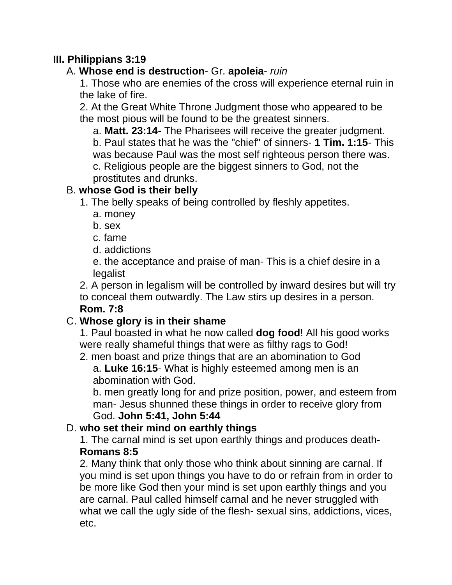## **III. Philippians 3:19**

## A. **Whose end is destruction**- Gr. **apoleia**- *ruin*

1. Those who are enemies of the cross will experience eternal ruin in the lake of fire.

2. At the Great White Throne Judgment those who appeared to be the most pious will be found to be the greatest sinners.

a. **Matt. 23:14-** The Pharisees will receive the greater judgment. b. Paul states that he was the "chief" of sinners- **1 Tim. 1:15**- This was because Paul was the most self righteous person there was. c. Religious people are the biggest sinners to God, not the prostitutes and drunks.

## B. **whose God is their belly**

- 1. The belly speaks of being controlled by fleshly appetites.
	- a. money
	- b. sex
	- c. fame
	- d. addictions

e. the acceptance and praise of man- This is a chief desire in a legalist

2. A person in legalism will be controlled by inward desires but will try to conceal them outwardly. The Law stirs up desires in a person. **Rom. 7:8**

# C. **Whose glory is in their shame**

1. Paul boasted in what he now called **dog food**! All his good works were really shameful things that were as filthy rags to God!

2. men boast and prize things that are an abomination to God a. **Luke 16:15**- What is highly esteemed among men is an abomination with God.

b. men greatly long for and prize position, power, and esteem from man- Jesus shunned these things in order to receive glory from God. **John 5:41, John 5:44**

# D. **who set their mind on earthly things**

1. The carnal mind is set upon earthly things and produces death-**Romans 8:5**

2. Many think that only those who think about sinning are carnal. If you mind is set upon things you have to do or refrain from in order to be more like God then your mind is set upon earthly things and you are carnal. Paul called himself carnal and he never struggled with what we call the ugly side of the flesh- sexual sins, addictions, vices, etc.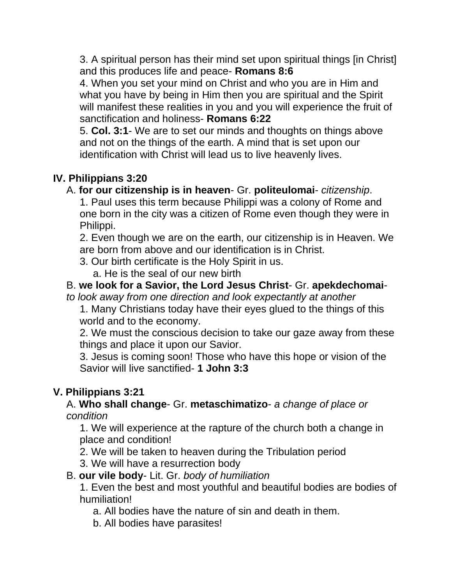3. A spiritual person has their mind set upon spiritual things [in Christ] and this produces life and peace- **Romans 8:6**

4. When you set your mind on Christ and who you are in Him and what you have by being in Him then you are spiritual and the Spirit will manifest these realities in you and you will experience the fruit of sanctification and holiness- **Romans 6:22**

5. **Col. 3:1**- We are to set our minds and thoughts on things above and not on the things of the earth. A mind that is set upon our identification with Christ will lead us to live heavenly lives.

## **IV. Philippians 3:20**

#### A. **for our citizenship is in heaven**- Gr. **politeulomai**- *citizenship*.

1. Paul uses this term because Philippi was a colony of Rome and one born in the city was a citizen of Rome even though they were in Philippi.

2. Even though we are on the earth, our citizenship is in Heaven. We are born from above and our identification is in Christ.

3. Our birth certificate is the Holy Spirit in us.

a. He is the seal of our new birth

# B. **we look for a Savior, the Lord Jesus Christ**- Gr. **apekdechomai**-

*to look away from one direction and look expectantly at another*

1. Many Christians today have their eyes glued to the things of this world and to the economy.

2. We must the conscious decision to take our gaze away from these things and place it upon our Savior.

3. Jesus is coming soon! Those who have this hope or vision of the Savior will live sanctified- **1 John 3:3**

### **V. Philippians 3:21**

#### A. **Who shall change**- Gr. **metaschimatizo**- *a change of place or condition*

1. We will experience at the rapture of the church both a change in place and condition!

2. We will be taken to heaven during the Tribulation period

3. We will have a resurrection body

#### B. **our vile body**- Lit. Gr. *body of humiliation*

1. Even the best and most youthful and beautiful bodies are bodies of humiliation!

a. All bodies have the nature of sin and death in them.

b. All bodies have parasites!